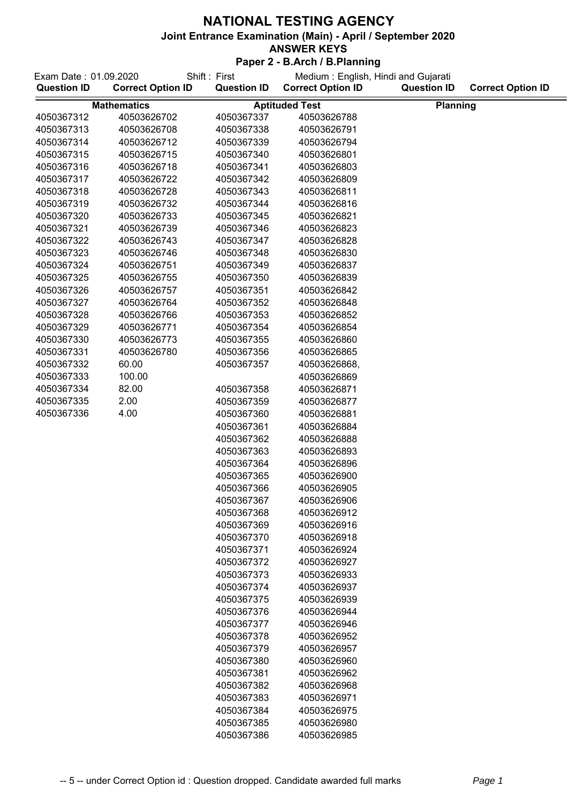| Exam Date: 01.09.2020 |                          | Shift: First       | Medium: English, Hindi and Gujarati |                    |                          |
|-----------------------|--------------------------|--------------------|-------------------------------------|--------------------|--------------------------|
| <b>Question ID</b>    | <b>Correct Option ID</b> | <b>Question ID</b> | <b>Correct Option ID</b>            | <b>Question ID</b> | <b>Correct Option ID</b> |
|                       | <b>Mathematics</b>       |                    | <b>Aptituded Test</b>               | Planning           |                          |
| 4050367312            | 40503626702              | 4050367337         | 40503626788                         |                    |                          |
| 4050367313            | 40503626708              | 4050367338         | 40503626791                         |                    |                          |
| 4050367314            | 40503626712              | 4050367339         | 40503626794                         |                    |                          |
| 4050367315            | 40503626715              | 4050367340         | 40503626801                         |                    |                          |
| 4050367316            | 40503626718              | 4050367341         | 40503626803                         |                    |                          |
| 4050367317            | 40503626722              | 4050367342         | 40503626809                         |                    |                          |
| 4050367318            | 40503626728              | 4050367343         | 40503626811                         |                    |                          |
| 4050367319            | 40503626732              | 4050367344         | 40503626816                         |                    |                          |
| 4050367320            | 40503626733              | 4050367345         | 40503626821                         |                    |                          |
| 4050367321            | 40503626739              | 4050367346         | 40503626823                         |                    |                          |
| 4050367322            | 40503626743              | 4050367347         | 40503626828                         |                    |                          |
| 4050367323            | 40503626746              | 4050367348         | 40503626830                         |                    |                          |
| 4050367324            | 40503626751              | 4050367349         | 40503626837                         |                    |                          |
| 4050367325            | 40503626755              | 4050367350         | 40503626839                         |                    |                          |
| 4050367326            | 40503626757              | 4050367351         | 40503626842                         |                    |                          |
| 4050367327            | 40503626764              | 4050367352         | 40503626848                         |                    |                          |
| 4050367328            | 40503626766              | 4050367353         | 40503626852                         |                    |                          |
| 4050367329            | 40503626771              | 4050367354         | 40503626854                         |                    |                          |
| 4050367330            | 40503626773              | 4050367355         | 40503626860                         |                    |                          |
| 4050367331            | 40503626780              | 4050367356         | 40503626865                         |                    |                          |
| 4050367332            | 60.00                    | 4050367357         | 40503626868,                        |                    |                          |
| 4050367333            | 100.00                   |                    | 40503626869                         |                    |                          |
| 4050367334            | 82.00                    | 4050367358         | 40503626871                         |                    |                          |
| 4050367335            | 2.00                     | 4050367359         | 40503626877                         |                    |                          |
| 4050367336            | 4.00                     | 4050367360         | 40503626881                         |                    |                          |
|                       |                          | 4050367361         | 40503626884                         |                    |                          |
|                       |                          | 4050367362         | 40503626888                         |                    |                          |
|                       |                          | 4050367363         | 40503626893                         |                    |                          |
|                       |                          | 4050367364         | 40503626896                         |                    |                          |
|                       |                          | 4050367365         | 40503626900                         |                    |                          |
|                       |                          | 4050367366         | 40503626905                         |                    |                          |
|                       |                          | 4050367367         | 40503626906                         |                    |                          |
|                       |                          | 4050367368         | 40503626912                         |                    |                          |
|                       |                          | 4050367369         | 40503626916                         |                    |                          |
|                       |                          | 4050367370         | 40503626918                         |                    |                          |
|                       |                          | 4050367371         | 40503626924                         |                    |                          |
|                       |                          | 4050367372         | 40503626927                         |                    |                          |
|                       |                          | 4050367373         | 40503626933                         |                    |                          |
|                       |                          | 4050367374         | 40503626937                         |                    |                          |
|                       |                          | 4050367375         | 40503626939                         |                    |                          |
|                       |                          | 4050367376         | 40503626944                         |                    |                          |
|                       |                          | 4050367377         | 40503626946                         |                    |                          |
|                       |                          | 4050367378         | 40503626952                         |                    |                          |
|                       |                          | 4050367379         | 40503626957                         |                    |                          |
|                       |                          | 4050367380         | 40503626960                         |                    |                          |
|                       |                          | 4050367381         | 40503626962                         |                    |                          |
|                       |                          | 4050367382         | 40503626968                         |                    |                          |
|                       |                          | 4050367383         | 40503626971                         |                    |                          |
|                       |                          | 4050367384         | 40503626975                         |                    |                          |
|                       |                          | 4050367385         | 40503626980                         |                    |                          |
|                       |                          | 4050367386         | 40503626985                         |                    |                          |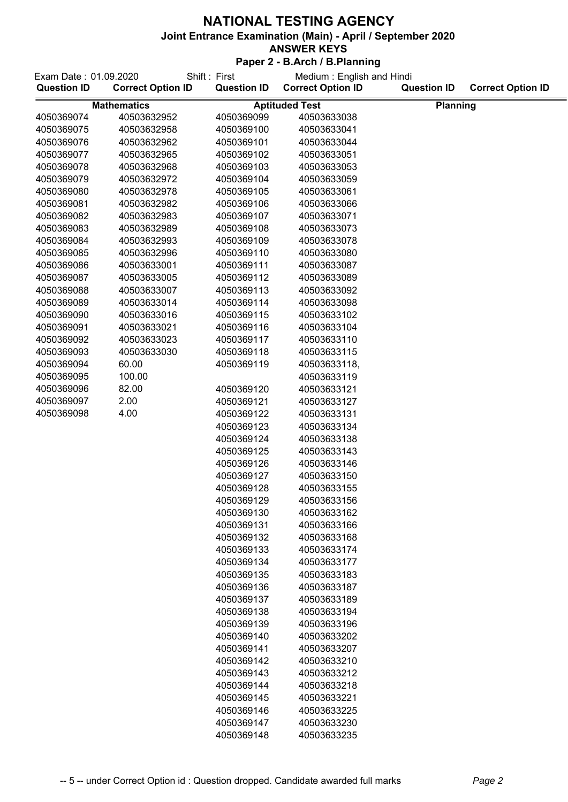| Exam Date: 01.09.2020<br><b>Question ID</b> | <b>Correct Option ID</b>          | Shift: First<br><b>Question ID</b> | Medium: English and Hindi<br><b>Correct Option ID</b> | <b>Question ID</b> | <b>Correct Option ID</b> |
|---------------------------------------------|-----------------------------------|------------------------------------|-------------------------------------------------------|--------------------|--------------------------|
|                                             |                                   |                                    |                                                       |                    |                          |
| 4050369074                                  | <b>Mathematics</b><br>40503632952 | 4050369099                         | <b>Aptituded Test</b><br>40503633038                  | <b>Planning</b>    |                          |
| 4050369075                                  | 40503632958                       | 4050369100                         | 40503633041                                           |                    |                          |
| 4050369076                                  | 40503632962                       | 4050369101                         | 40503633044                                           |                    |                          |
| 4050369077                                  | 40503632965                       | 4050369102                         | 40503633051                                           |                    |                          |
| 4050369078                                  | 40503632968                       | 4050369103                         | 40503633053                                           |                    |                          |
| 4050369079                                  | 40503632972                       | 4050369104                         | 40503633059                                           |                    |                          |
| 4050369080                                  | 40503632978                       | 4050369105                         | 40503633061                                           |                    |                          |
| 4050369081                                  | 40503632982                       | 4050369106                         | 40503633066                                           |                    |                          |
| 4050369082                                  | 40503632983                       | 4050369107                         | 40503633071                                           |                    |                          |
| 4050369083                                  | 40503632989                       | 4050369108                         | 40503633073                                           |                    |                          |
| 4050369084                                  | 40503632993                       | 4050369109                         | 40503633078                                           |                    |                          |
| 4050369085                                  | 40503632996                       | 4050369110                         | 40503633080                                           |                    |                          |
| 4050369086                                  | 40503633001                       | 4050369111                         | 40503633087                                           |                    |                          |
| 4050369087                                  | 40503633005                       | 4050369112                         | 40503633089                                           |                    |                          |
| 4050369088                                  | 40503633007                       | 4050369113                         | 40503633092                                           |                    |                          |
| 4050369089                                  | 40503633014                       | 4050369114                         | 40503633098                                           |                    |                          |
| 4050369090                                  | 40503633016                       | 4050369115                         | 40503633102                                           |                    |                          |
| 4050369091                                  | 40503633021                       |                                    | 40503633104                                           |                    |                          |
| 4050369092                                  | 40503633023                       | 4050369116<br>4050369117           | 40503633110                                           |                    |                          |
| 4050369093                                  | 40503633030                       | 4050369118                         | 40503633115                                           |                    |                          |
| 4050369094                                  | 60.00                             |                                    |                                                       |                    |                          |
| 4050369095                                  | 100.00                            | 4050369119                         | 40503633118,                                          |                    |                          |
| 4050369096                                  | 82.00                             |                                    | 40503633119                                           |                    |                          |
| 4050369097                                  | 2.00                              | 4050369120                         | 40503633121                                           |                    |                          |
| 4050369098                                  | 4.00                              | 4050369121<br>4050369122           | 40503633127<br>40503633131                            |                    |                          |
|                                             |                                   |                                    |                                                       |                    |                          |
|                                             |                                   | 4050369123<br>4050369124           | 40503633134<br>40503633138                            |                    |                          |
|                                             |                                   | 4050369125                         | 40503633143                                           |                    |                          |
|                                             |                                   | 4050369126                         | 40503633146                                           |                    |                          |
|                                             |                                   | 4050369127                         | 40503633150                                           |                    |                          |
|                                             |                                   | 4050369128                         | 40503633155                                           |                    |                          |
|                                             |                                   | 4050369129                         | 40503633156                                           |                    |                          |
|                                             |                                   | 4050369130                         | 40503633162                                           |                    |                          |
|                                             |                                   | 4050369131                         | 40503633166                                           |                    |                          |
|                                             |                                   | 4050369132                         | 40503633168                                           |                    |                          |
|                                             |                                   | 4050369133                         | 40503633174                                           |                    |                          |
|                                             |                                   | 4050369134                         | 40503633177                                           |                    |                          |
|                                             |                                   | 4050369135                         | 40503633183                                           |                    |                          |
|                                             |                                   | 4050369136                         | 40503633187                                           |                    |                          |
|                                             |                                   | 4050369137                         | 40503633189                                           |                    |                          |
|                                             |                                   | 4050369138                         | 40503633194                                           |                    |                          |
|                                             |                                   | 4050369139                         | 40503633196                                           |                    |                          |
|                                             |                                   | 4050369140                         | 40503633202                                           |                    |                          |
|                                             |                                   | 4050369141                         | 40503633207                                           |                    |                          |
|                                             |                                   | 4050369142                         | 40503633210                                           |                    |                          |
|                                             |                                   | 4050369143                         | 40503633212                                           |                    |                          |
|                                             |                                   | 4050369144                         | 40503633218                                           |                    |                          |
|                                             |                                   | 4050369145                         | 40503633221                                           |                    |                          |
|                                             |                                   | 4050369146                         | 40503633225                                           |                    |                          |
|                                             |                                   | 4050369147                         | 40503633230                                           |                    |                          |
|                                             |                                   | 4050369148                         | 40503633235                                           |                    |                          |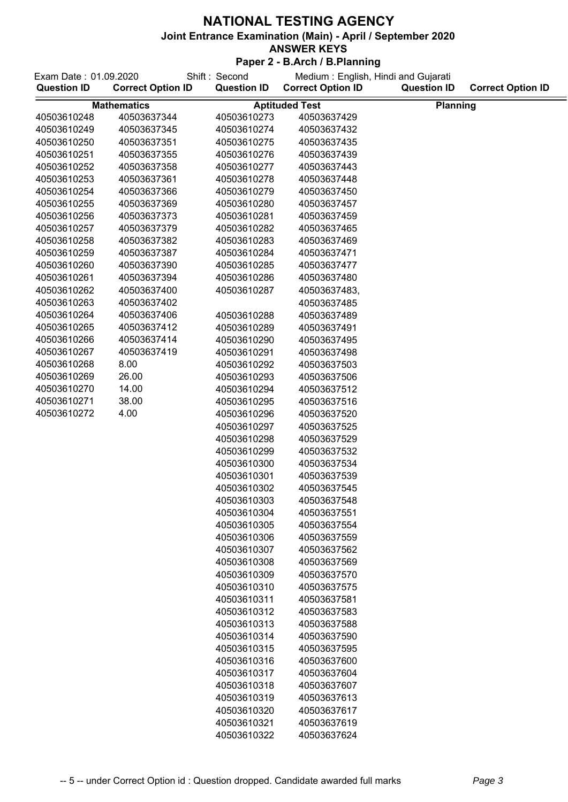## **ANSWER KEYS**

| Shift: Second<br>Exam Date: 01.09.2020 |                          |                            | Medium: English, Hindi and Gujarati |                    |                          |
|----------------------------------------|--------------------------|----------------------------|-------------------------------------|--------------------|--------------------------|
| <b>Question ID</b>                     | <b>Correct Option ID</b> | <b>Question ID</b>         | <b>Correct Option ID</b>            | <b>Question ID</b> | <b>Correct Option ID</b> |
| <b>Mathematics</b>                     |                          |                            | <b>Aptituded Test</b>               | <b>Planning</b>    |                          |
| 40503610248                            | 40503637344              | 40503610273                | 40503637429                         |                    |                          |
| 40503610249                            | 40503637345              | 40503610274                | 40503637432                         |                    |                          |
| 40503610250                            | 40503637351              | 40503610275                | 40503637435                         |                    |                          |
| 40503610251                            | 40503637355              | 40503610276                | 40503637439                         |                    |                          |
| 40503610252                            | 40503637358              | 40503610277                | 40503637443                         |                    |                          |
| 40503610253                            | 40503637361              | 40503610278                | 40503637448                         |                    |                          |
| 40503610254                            | 40503637366              | 40503610279                | 40503637450                         |                    |                          |
| 40503610255                            | 40503637369              | 40503610280                | 40503637457                         |                    |                          |
| 40503610256                            | 40503637373              | 40503610281                | 40503637459                         |                    |                          |
| 40503610257                            | 40503637379              | 40503610282                | 40503637465                         |                    |                          |
| 40503610258                            | 40503637382              | 40503610283                | 40503637469                         |                    |                          |
| 40503610259                            | 40503637387              | 40503610284                | 40503637471                         |                    |                          |
| 40503610260                            | 40503637390              | 40503610285                | 40503637477                         |                    |                          |
| 40503610261                            | 40503637394              | 40503610286                | 40503637480                         |                    |                          |
| 40503610262                            | 40503637400              | 40503610287                | 40503637483,                        |                    |                          |
| 40503610263                            | 40503637402              |                            | 40503637485                         |                    |                          |
| 40503610264                            | 40503637406              | 40503610288                | 40503637489                         |                    |                          |
| 40503610265                            | 40503637412              | 40503610289                | 40503637491                         |                    |                          |
| 40503610266                            | 40503637414              | 40503610290                | 40503637495                         |                    |                          |
| 40503610267                            | 40503637419              | 40503610291                | 40503637498                         |                    |                          |
| 40503610268                            | 8.00                     | 40503610292                | 40503637503                         |                    |                          |
| 40503610269                            | 26.00                    | 40503610293                | 40503637506                         |                    |                          |
| 40503610270                            | 14.00                    | 40503610294                | 40503637512                         |                    |                          |
| 40503610271                            | 38.00                    | 40503610295                | 40503637516                         |                    |                          |
| 40503610272                            | 4.00                     | 40503610296                | 40503637520                         |                    |                          |
|                                        |                          | 40503610297                | 40503637525                         |                    |                          |
|                                        |                          | 40503610298                | 40503637529                         |                    |                          |
|                                        |                          | 40503610299                | 40503637532                         |                    |                          |
|                                        |                          | 40503610300                | 40503637534                         |                    |                          |
|                                        |                          | 40503610301                | 40503637539                         |                    |                          |
|                                        |                          | 40503610302                | 40503637545                         |                    |                          |
|                                        |                          | 40503610303                | 40503637548                         |                    |                          |
|                                        |                          | 40503610304                | 40503637551                         |                    |                          |
|                                        |                          | 40503610305                | 40503637554                         |                    |                          |
|                                        |                          | 40503610306                | 40503637559                         |                    |                          |
|                                        |                          | 40503610307<br>40503610308 | 40503637562<br>40503637569          |                    |                          |
|                                        |                          | 40503610309                | 40503637570                         |                    |                          |
|                                        |                          | 40503610310                | 40503637575                         |                    |                          |
|                                        |                          | 40503610311                | 40503637581                         |                    |                          |
|                                        |                          | 40503610312                | 40503637583                         |                    |                          |
|                                        |                          | 40503610313                | 40503637588                         |                    |                          |
|                                        |                          | 40503610314                | 40503637590                         |                    |                          |
|                                        |                          | 40503610315                | 40503637595                         |                    |                          |
|                                        |                          | 40503610316                | 40503637600                         |                    |                          |
|                                        |                          | 40503610317                | 40503637604                         |                    |                          |
|                                        |                          | 40503610318                | 40503637607                         |                    |                          |
|                                        |                          | 40503610319                | 40503637613                         |                    |                          |
|                                        |                          | 40503610320                | 40503637617                         |                    |                          |
|                                        |                          | 40503610321                | 40503637619                         |                    |                          |
|                                        |                          | 40503610322                | 40503637624                         |                    |                          |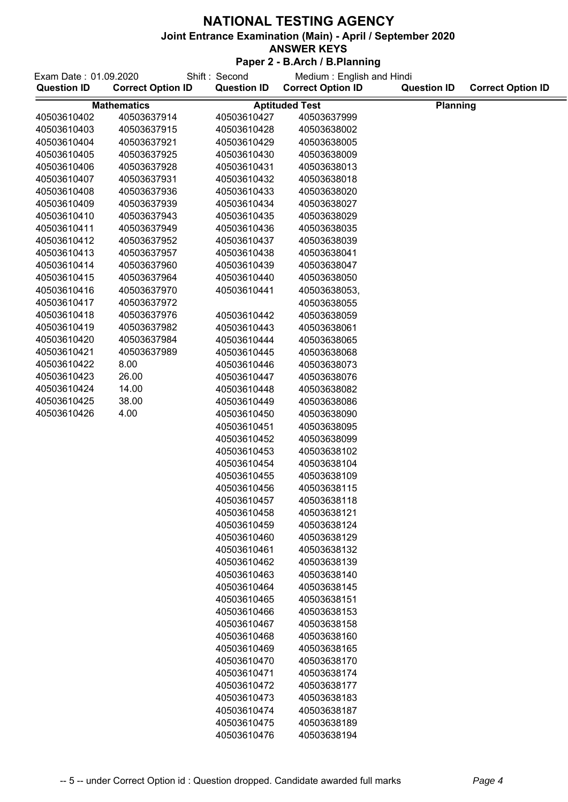## **ANSWER KEYS**

| Exam Date: 01.09.2020<br>Shift: Second |                          |                    | Medium: English and Hindi |                    |                          |  |
|----------------------------------------|--------------------------|--------------------|---------------------------|--------------------|--------------------------|--|
| <b>Question ID</b>                     | <b>Correct Option ID</b> | <b>Question ID</b> | <b>Correct Option ID</b>  | <b>Question ID</b> | <b>Correct Option ID</b> |  |
| <b>Mathematics</b>                     |                          |                    | <b>Aptituded Test</b>     | <b>Planning</b>    |                          |  |
| 40503610402                            | 40503637914              | 40503610427        | 40503637999               |                    |                          |  |
| 40503610403                            | 40503637915              | 40503610428        | 40503638002               |                    |                          |  |
| 40503610404                            | 40503637921              | 40503610429        | 40503638005               |                    |                          |  |
| 40503610405                            | 40503637925              | 40503610430        | 40503638009               |                    |                          |  |
| 40503610406                            | 40503637928              | 40503610431        | 40503638013               |                    |                          |  |
| 40503610407                            | 40503637931              | 40503610432        | 40503638018               |                    |                          |  |
| 40503610408                            | 40503637936              | 40503610433        | 40503638020               |                    |                          |  |
| 40503610409                            | 40503637939              | 40503610434        | 40503638027               |                    |                          |  |
| 40503610410                            | 40503637943              | 40503610435        | 40503638029               |                    |                          |  |
| 40503610411                            | 40503637949              | 40503610436        | 40503638035               |                    |                          |  |
| 40503610412                            | 40503637952              | 40503610437        | 40503638039               |                    |                          |  |
| 40503610413                            | 40503637957              | 40503610438        | 40503638041               |                    |                          |  |
| 40503610414                            | 40503637960              | 40503610439        | 40503638047               |                    |                          |  |
| 40503610415                            | 40503637964              | 40503610440        | 40503638050               |                    |                          |  |
| 40503610416                            | 40503637970              | 40503610441        | 40503638053,              |                    |                          |  |
| 40503610417                            | 40503637972              |                    | 40503638055               |                    |                          |  |
| 40503610418                            | 40503637976              | 40503610442        | 40503638059               |                    |                          |  |
| 40503610419                            | 40503637982              | 40503610443        | 40503638061               |                    |                          |  |
| 40503610420                            | 40503637984              | 40503610444        | 40503638065               |                    |                          |  |
| 40503610421                            | 40503637989              | 40503610445        | 40503638068               |                    |                          |  |
| 40503610422                            | 8.00                     | 40503610446        | 40503638073               |                    |                          |  |
| 40503610423                            | 26.00                    | 40503610447        | 40503638076               |                    |                          |  |
| 40503610424                            | 14.00                    | 40503610448        | 40503638082               |                    |                          |  |
| 40503610425                            | 38.00                    | 40503610449        | 40503638086               |                    |                          |  |
| 40503610426                            | 4.00                     | 40503610450        | 40503638090               |                    |                          |  |
|                                        |                          | 40503610451        | 40503638095               |                    |                          |  |
|                                        |                          | 40503610452        | 40503638099               |                    |                          |  |
|                                        |                          | 40503610453        | 40503638102               |                    |                          |  |
|                                        |                          | 40503610454        | 40503638104               |                    |                          |  |
|                                        |                          | 40503610455        | 40503638109               |                    |                          |  |
|                                        |                          | 40503610456        | 40503638115               |                    |                          |  |
|                                        |                          | 40503610457        | 40503638118               |                    |                          |  |
|                                        |                          | 40503610458        | 40503638121               |                    |                          |  |
|                                        |                          | 40503610459        | 40503638124               |                    |                          |  |
|                                        |                          | 40503610460        | 40503638129               |                    |                          |  |
|                                        |                          | 40503610461        | 40503638132               |                    |                          |  |
|                                        |                          | 40503610462        | 40503638139               |                    |                          |  |
|                                        |                          | 40503610463        | 40503638140               |                    |                          |  |
|                                        |                          | 40503610464        | 40503638145               |                    |                          |  |
|                                        |                          | 40503610465        | 40503638151               |                    |                          |  |
|                                        |                          | 40503610466        | 40503638153               |                    |                          |  |
|                                        |                          | 40503610467        | 40503638158               |                    |                          |  |
|                                        |                          | 40503610468        | 40503638160               |                    |                          |  |
|                                        |                          | 40503610469        | 40503638165               |                    |                          |  |
|                                        |                          | 40503610470        | 40503638170               |                    |                          |  |
|                                        |                          | 40503610471        | 40503638174               |                    |                          |  |
|                                        |                          | 40503610472        | 40503638177               |                    |                          |  |
|                                        |                          | 40503610473        | 40503638183               |                    |                          |  |
|                                        |                          | 40503610474        | 40503638187               |                    |                          |  |
|                                        |                          | 40503610475        | 40503638189               |                    |                          |  |
|                                        |                          | 40503610476        | 40503638194               |                    |                          |  |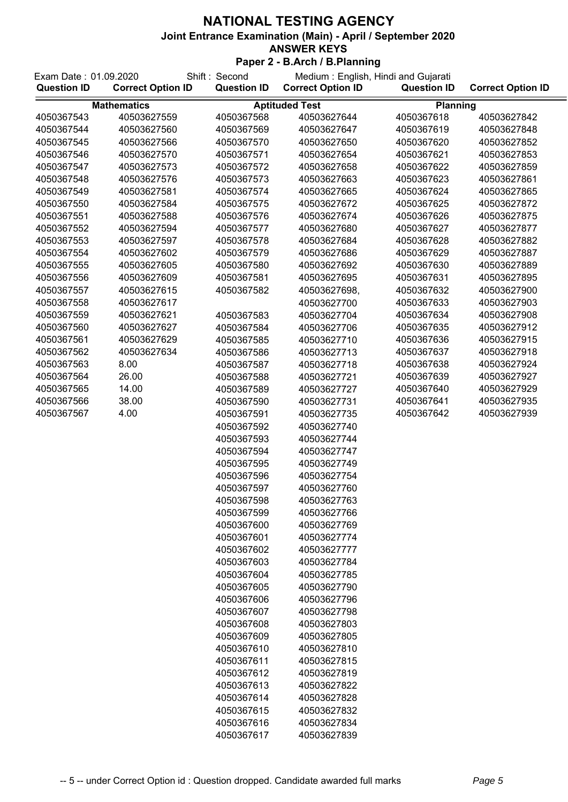| Shift: Second<br>Exam Date: 01.09.2020 |                          | Medium: English, Hindi and Gujarati |                          |                    |                          |
|----------------------------------------|--------------------------|-------------------------------------|--------------------------|--------------------|--------------------------|
| <b>Question ID</b>                     | <b>Correct Option ID</b> | <b>Question ID</b>                  | <b>Correct Option ID</b> | <b>Question ID</b> | <b>Correct Option ID</b> |
|                                        | <b>Mathematics</b>       |                                     | <b>Aptituded Test</b>    | Planning           |                          |
| 4050367543                             | 40503627559              | 4050367568                          | 40503627644              | 4050367618         | 40503627842              |
| 4050367544                             | 40503627560              | 4050367569                          | 40503627647              | 4050367619         | 40503627848              |
| 4050367545                             | 40503627566              | 4050367570                          | 40503627650              | 4050367620         | 40503627852              |
| 4050367546                             | 40503627570              | 4050367571                          | 40503627654              | 4050367621         | 40503627853              |
| 4050367547                             | 40503627573              | 4050367572                          | 40503627658              | 4050367622         | 40503627859              |
| 4050367548                             | 40503627576              | 4050367573                          | 40503627663              | 4050367623         | 40503627861              |
| 4050367549                             | 40503627581              | 4050367574                          | 40503627665              | 4050367624         | 40503627865              |
| 4050367550                             | 40503627584              | 4050367575                          | 40503627672              | 4050367625         | 40503627872              |
| 4050367551                             | 40503627588              | 4050367576                          | 40503627674              | 4050367626         | 40503627875              |
| 4050367552                             | 40503627594              | 4050367577                          | 40503627680              | 4050367627         | 40503627877              |
| 4050367553                             | 40503627597              | 4050367578                          | 40503627684              | 4050367628         | 40503627882              |
| 4050367554                             | 40503627602              | 4050367579                          | 40503627686              | 4050367629         | 40503627887              |
| 4050367555                             | 40503627605              | 4050367580                          | 40503627692              | 4050367630         | 40503627889              |
| 4050367556                             | 40503627609              | 4050367581                          | 40503627695              | 4050367631         | 40503627895              |
| 4050367557                             | 40503627615              | 4050367582                          | 40503627698,             | 4050367632         | 40503627900              |
| 4050367558                             | 40503627617              |                                     | 40503627700              | 4050367633         | 40503627903              |
| 4050367559                             | 40503627621              | 4050367583                          | 40503627704              | 4050367634         | 40503627908              |
| 4050367560                             | 40503627627              | 4050367584                          | 40503627706              | 4050367635         | 40503627912              |
| 4050367561                             | 40503627629              | 4050367585                          | 40503627710              | 4050367636         | 40503627915              |
| 4050367562                             | 40503627634              | 4050367586                          | 40503627713              | 4050367637         | 40503627918              |
| 4050367563                             | 8.00                     | 4050367587                          | 40503627718              | 4050367638         | 40503627924              |
| 4050367564                             | 26.00                    | 4050367588                          | 40503627721              | 4050367639         | 40503627927              |
| 4050367565                             | 14.00                    | 4050367589                          | 40503627727              | 4050367640         | 40503627929              |
| 4050367566                             | 38.00                    | 4050367590                          | 40503627731              | 4050367641         | 40503627935              |
| 4050367567                             | 4.00                     | 4050367591                          | 40503627735              | 4050367642         | 40503627939              |
|                                        |                          | 4050367592                          | 40503627740              |                    |                          |
|                                        |                          | 4050367593                          | 40503627744              |                    |                          |
|                                        |                          | 4050367594                          | 40503627747              |                    |                          |
|                                        |                          | 4050367595                          | 40503627749              |                    |                          |
|                                        |                          | 4050367596                          | 40503627754              |                    |                          |
|                                        |                          | 4050367597                          | 40503627760              |                    |                          |
|                                        |                          | 4050367598                          | 40503627763              |                    |                          |
|                                        |                          | 4050367599                          | 40503627766              |                    |                          |
|                                        |                          | 4050367600                          | 40503627769              |                    |                          |
|                                        |                          | 4050367601                          | 40503627774              |                    |                          |
|                                        |                          | 4050367602                          | 40503627777              |                    |                          |
|                                        |                          | 4050367603                          | 40503627784              |                    |                          |
|                                        |                          | 4050367604                          | 40503627785              |                    |                          |
|                                        |                          | 4050367605                          | 40503627790              |                    |                          |
|                                        |                          | 4050367606                          | 40503627796              |                    |                          |
|                                        |                          | 4050367607                          | 40503627798              |                    |                          |
|                                        |                          | 4050367608                          | 40503627803              |                    |                          |
|                                        |                          | 4050367609                          | 40503627805              |                    |                          |
|                                        |                          | 4050367610                          | 40503627810              |                    |                          |
|                                        |                          | 4050367611                          | 40503627815              |                    |                          |
|                                        |                          | 4050367612                          | 40503627819              |                    |                          |
|                                        |                          | 4050367613                          | 40503627822              |                    |                          |
|                                        |                          | 4050367614                          | 40503627828              |                    |                          |
|                                        |                          | 4050367615                          | 40503627832              |                    |                          |
|                                        |                          | 4050367616                          | 40503627834              |                    |                          |
|                                        |                          | 4050367617                          | 40503627839              |                    |                          |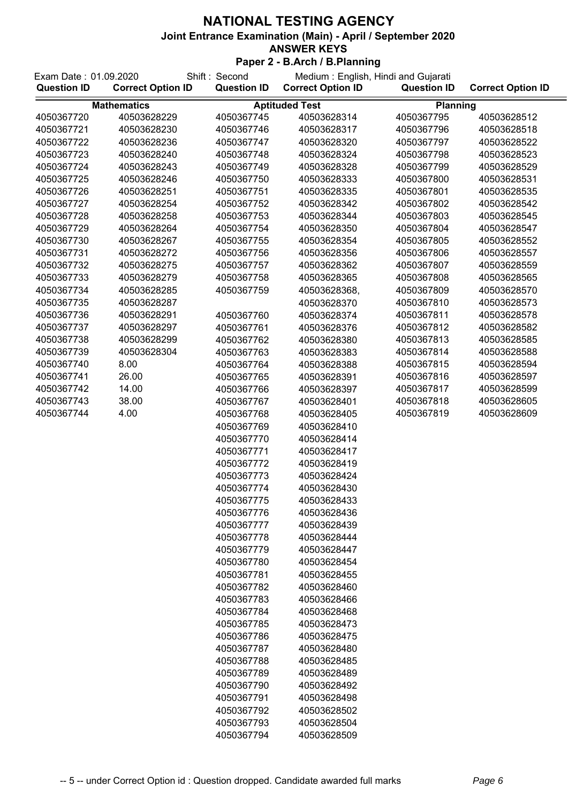| Shift: Second<br>Exam Date: 01.09.2020 |                          | Medium: English, Hindi and Gujarati |                          |                    |                          |
|----------------------------------------|--------------------------|-------------------------------------|--------------------------|--------------------|--------------------------|
| <b>Question ID</b>                     | <b>Correct Option ID</b> | <b>Question ID</b>                  | <b>Correct Option ID</b> | <b>Question ID</b> | <b>Correct Option ID</b> |
|                                        | <b>Mathematics</b>       |                                     | <b>Aptituded Test</b>    | <b>Planning</b>    |                          |
| 4050367720                             | 40503628229              | 4050367745                          | 40503628314              | 4050367795         | 40503628512              |
| 4050367721                             | 40503628230              | 4050367746                          | 40503628317              | 4050367796         | 40503628518              |
| 4050367722                             | 40503628236              | 4050367747                          | 40503628320              | 4050367797         | 40503628522              |
| 4050367723                             | 40503628240              | 4050367748                          | 40503628324              | 4050367798         | 40503628523              |
| 4050367724                             | 40503628243              | 4050367749                          | 40503628328              | 4050367799         | 40503628529              |
| 4050367725                             | 40503628246              | 4050367750                          | 40503628333              | 4050367800         | 40503628531              |
| 4050367726                             | 40503628251              | 4050367751                          | 40503628335              | 4050367801         | 40503628535              |
| 4050367727                             | 40503628254              | 4050367752                          | 40503628342              | 4050367802         | 40503628542              |
| 4050367728                             | 40503628258              | 4050367753                          | 40503628344              | 4050367803         | 40503628545              |
| 4050367729                             | 40503628264              | 4050367754                          | 40503628350              | 4050367804         | 40503628547              |
| 4050367730                             | 40503628267              | 4050367755                          | 40503628354              | 4050367805         | 40503628552              |
| 4050367731                             | 40503628272              | 4050367756                          | 40503628356              | 4050367806         | 40503628557              |
| 4050367732                             | 40503628275              | 4050367757                          | 40503628362              | 4050367807         | 40503628559              |
| 4050367733                             | 40503628279              | 4050367758                          | 40503628365              | 4050367808         | 40503628565              |
| 4050367734                             | 40503628285              | 4050367759                          | 40503628368,             | 4050367809         | 40503628570              |
| 4050367735                             | 40503628287              |                                     | 40503628370              | 4050367810         | 40503628573              |
| 4050367736                             | 40503628291              | 4050367760                          | 40503628374              | 4050367811         | 40503628578              |
| 4050367737                             | 40503628297              | 4050367761                          | 40503628376              | 4050367812         | 40503628582              |
| 4050367738                             | 40503628299              | 4050367762                          | 40503628380              | 4050367813         | 40503628585              |
| 4050367739                             | 40503628304              | 4050367763                          | 40503628383              | 4050367814         | 40503628588              |
| 4050367740                             | 8.00                     | 4050367764                          | 40503628388              | 4050367815         | 40503628594              |
| 4050367741                             | 26.00                    | 4050367765                          | 40503628391              | 4050367816         | 40503628597              |
| 4050367742                             | 14.00                    | 4050367766                          | 40503628397              | 4050367817         | 40503628599              |
| 4050367743                             | 38.00                    | 4050367767                          | 40503628401              | 4050367818         | 40503628605              |
| 4050367744                             | 4.00                     | 4050367768                          | 40503628405              | 4050367819         | 40503628609              |
|                                        |                          | 4050367769                          | 40503628410              |                    |                          |
|                                        |                          | 4050367770                          | 40503628414              |                    |                          |
|                                        |                          | 4050367771                          | 40503628417              |                    |                          |
|                                        |                          | 4050367772                          | 40503628419              |                    |                          |
|                                        |                          | 4050367773                          | 40503628424              |                    |                          |
|                                        |                          | 4050367774                          | 40503628430              |                    |                          |
|                                        |                          | 4050367775                          | 40503628433              |                    |                          |
|                                        |                          | 4050367776                          | 40503628436              |                    |                          |
|                                        |                          | 4050367777                          | 40503628439              |                    |                          |
|                                        |                          | 4050367778                          | 40503628444              |                    |                          |
|                                        |                          | 4050367779                          | 40503628447              |                    |                          |
|                                        |                          | 4050367780                          | 40503628454              |                    |                          |
|                                        |                          | 4050367781                          | 40503628455              |                    |                          |
|                                        |                          | 4050367782                          | 40503628460              |                    |                          |
|                                        |                          | 4050367783                          | 40503628466              |                    |                          |
|                                        |                          | 4050367784                          | 40503628468              |                    |                          |
|                                        |                          | 4050367785                          | 40503628473              |                    |                          |
|                                        |                          | 4050367786                          | 40503628475              |                    |                          |
|                                        |                          | 4050367787                          | 40503628480              |                    |                          |
|                                        |                          | 4050367788                          | 40503628485              |                    |                          |
|                                        |                          | 4050367789                          | 40503628489              |                    |                          |
|                                        |                          | 4050367790                          | 40503628492              |                    |                          |
|                                        |                          | 4050367791                          | 40503628498              |                    |                          |
|                                        |                          | 4050367792                          | 40503628502              |                    |                          |
|                                        |                          | 4050367793                          | 40503628504              |                    |                          |
|                                        |                          | 4050367794                          | 40503628509              |                    |                          |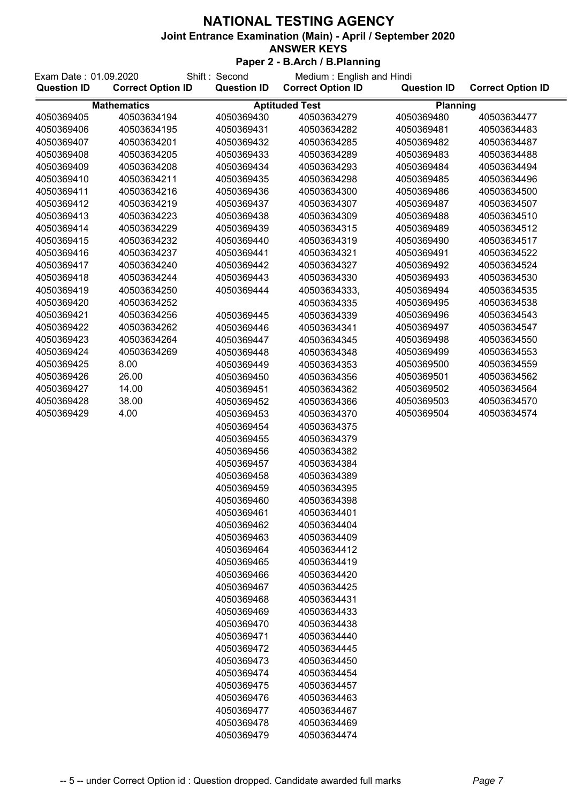### **ANSWER KEYS**

| Exam Date: 01.09.2020<br><b>Question ID</b> | <b>Correct Option ID</b> | Shift: Second<br><b>Question ID</b> | Medium: English and Hindi<br><b>Correct Option ID</b> | <b>Question ID</b> | <b>Correct Option ID</b> |
|---------------------------------------------|--------------------------|-------------------------------------|-------------------------------------------------------|--------------------|--------------------------|
| <b>Mathematics</b>                          |                          |                                     | <b>Aptituded Test</b>                                 | <b>Planning</b>    |                          |
| 4050369405                                  | 40503634194              | 4050369430                          | 40503634279                                           | 4050369480         | 40503634477              |
| 4050369406                                  | 40503634195              | 4050369431                          | 40503634282                                           | 4050369481         | 40503634483              |
| 4050369407                                  | 40503634201              | 4050369432                          | 40503634285                                           | 4050369482         | 40503634487              |
| 4050369408                                  | 40503634205              | 4050369433                          | 40503634289                                           | 4050369483         | 40503634488              |
| 4050369409                                  | 40503634208              | 4050369434                          | 40503634293                                           | 4050369484         | 40503634494              |
| 4050369410                                  | 40503634211              | 4050369435                          | 40503634298                                           | 4050369485         | 40503634496              |
| 4050369411                                  | 40503634216              | 4050369436                          | 40503634300                                           | 4050369486         | 40503634500              |
| 4050369412                                  | 40503634219              | 4050369437                          | 40503634307                                           | 4050369487         | 40503634507              |
| 4050369413                                  | 40503634223              | 4050369438                          | 40503634309                                           | 4050369488         | 40503634510              |
| 4050369414                                  | 40503634229              | 4050369439                          | 40503634315                                           | 4050369489         | 40503634512              |
| 4050369415                                  | 40503634232              | 4050369440                          | 40503634319                                           | 4050369490         | 40503634517              |
| 4050369416                                  | 40503634237              | 4050369441                          | 40503634321                                           | 4050369491         | 40503634522              |
| 4050369417                                  | 40503634240              | 4050369442                          | 40503634327                                           | 4050369492         | 40503634524              |
| 4050369418                                  | 40503634244              | 4050369443                          | 40503634330                                           | 4050369493         | 40503634530              |
| 4050369419                                  | 40503634250              | 4050369444                          | 40503634333,                                          | 4050369494         | 40503634535              |
| 4050369420                                  | 40503634252              |                                     | 40503634335                                           | 4050369495         | 40503634538              |
| 4050369421                                  | 40503634256              | 4050369445                          | 40503634339                                           | 4050369496         | 40503634543              |
| 4050369422                                  | 40503634262              | 4050369446                          | 40503634341                                           | 4050369497         | 40503634547              |
| 4050369423                                  | 40503634264              | 4050369447                          | 40503634345                                           | 4050369498         | 40503634550              |
| 4050369424                                  | 40503634269              | 4050369448                          | 40503634348                                           | 4050369499         | 40503634553              |
| 4050369425                                  | 8.00                     | 4050369449                          | 40503634353                                           | 4050369500         | 40503634559              |
| 4050369426                                  | 26.00                    | 4050369450                          | 40503634356                                           | 4050369501         | 40503634562              |
| 4050369427                                  | 14.00                    | 4050369451                          | 40503634362                                           | 4050369502         | 40503634564              |
| 4050369428                                  | 38.00                    | 4050369452                          | 40503634366                                           | 4050369503         | 40503634570              |
| 4050369429                                  | 4.00                     | 4050369453                          | 40503634370                                           | 4050369504         | 40503634574              |
|                                             |                          | 4050369454                          | 40503634375                                           |                    |                          |
|                                             |                          | 4050369455                          | 40503634379                                           |                    |                          |
|                                             |                          | 4050369456                          | 40503634382                                           |                    |                          |
|                                             |                          | 4050369457                          | 40503634384                                           |                    |                          |
|                                             |                          | 4050369458                          | 40503634389                                           |                    |                          |
|                                             |                          | 4050369459                          | 40503634395                                           |                    |                          |
|                                             |                          | 4050369460                          | 40503634398                                           |                    |                          |
|                                             |                          | 4050369461                          | 40503634401                                           |                    |                          |
|                                             |                          | 4050369462                          | 40503634404                                           |                    |                          |
|                                             |                          | 4050369463                          | 40503634409                                           |                    |                          |
|                                             |                          | 4050369464                          | 40503634412                                           |                    |                          |
|                                             |                          | 4050369465                          | 40503634419                                           |                    |                          |
|                                             |                          | 4050369466                          | 40503634420                                           |                    |                          |
|                                             |                          | 4050369467                          | 40503634425                                           |                    |                          |
|                                             |                          | 4050369468                          | 40503634431                                           |                    |                          |
|                                             |                          | 4050369469                          | 40503634433                                           |                    |                          |
|                                             |                          | 4050369470                          | 40503634438                                           |                    |                          |
|                                             |                          | 4050369471                          | 40503634440                                           |                    |                          |
|                                             |                          | 4050369472                          | 40503634445                                           |                    |                          |
|                                             |                          | 4050369473                          | 40503634450                                           |                    |                          |
|                                             |                          | 4050369474                          | 40503634454                                           |                    |                          |
|                                             |                          | 4050369475                          | 40503634457                                           |                    |                          |
|                                             |                          | 4050369476                          | 40503634463                                           |                    |                          |
|                                             |                          | 4050369477                          | 40503634467                                           |                    |                          |
|                                             |                          | 4050369478                          | 40503634469                                           |                    |                          |
|                                             |                          | 4050369479                          | 40503634474                                           |                    |                          |